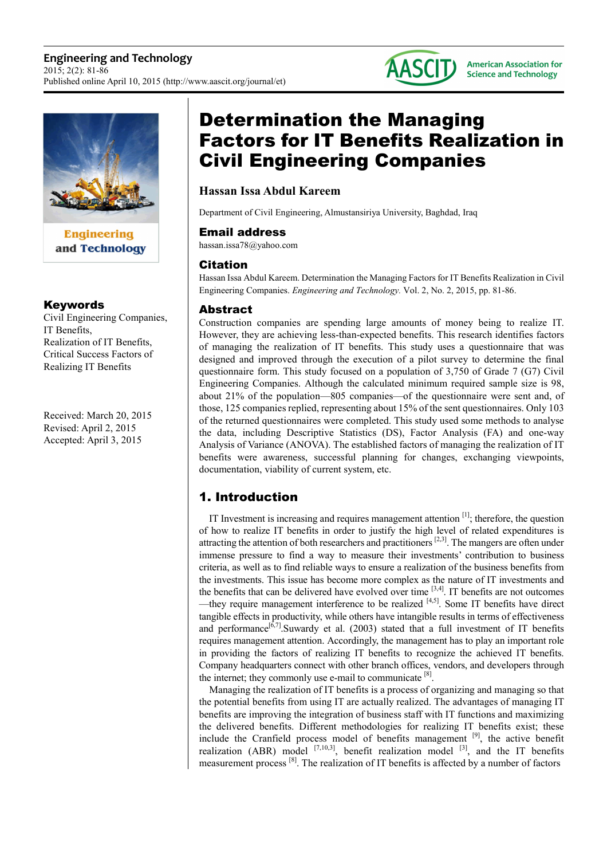

**Engineering** and Technology

## Keywords

Civil Engineering Companies, IT Benefits, Realization of IT Benefits, Critical Success Factors of Realizing IT Benefits

Received: March 20, 2015 Revised: April 2, 2015 Accepted: April 3, 2015

# Determination the Managing Factors for IT Benefits Realization in Civil Engineering Companies

# **Hassan Issa Abdul Kareem**

Department of Civil Engineering, Almustansiriya University, Baghdad, Iraq

#### Email address

hassan.issa78@yahoo.com

## Citation

Hassan Issa Abdul Kareem. Determination the Managing Factors for IT Benefits Realization in Civil Engineering Companies. *Engineering and Technology.* Vol. 2, No. 2, 2015, pp. 81-86.

## Abstract

Construction companies are spending large amounts of money being to realize IT. However, they are achieving less-than-expected benefits. This research identifies factors of managing the realization of IT benefits. This study uses a questionnaire that was designed and improved through the execution of a pilot survey to determine the final questionnaire form. This study focused on a population of 3,750 of Grade 7 (G7) Civil Engineering Companies. Although the calculated minimum required sample size is 98, about 21% of the population—805 companies—of the questionnaire were sent and, of those, 125 companies replied, representing about 15% of the sent questionnaires. Only 103 of the returned questionnaires were completed. This study used some methods to analyse the data, including Descriptive Statistics (DS), Factor Analysis (FA) and one-way Analysis of Variance (ANOVA). The established factors of managing the realization of IT benefits were awareness, successful planning for changes, exchanging viewpoints, documentation, viability of current system, etc.

# 1. Introduction

IT Investment is increasing and requires management attention [1]; therefore, the question of how to realize IT benefits in order to justify the high level of related expenditures is attracting the attention of both researchers and practitioners <sup>[2,3]</sup>. The mangers are often under immense pressure to find a way to measure their investments' contribution to business criteria, as well as to find reliable ways to ensure a realization of the business benefits from the investments. This issue has become more complex as the nature of IT investments and the benefits that can be delivered have evolved over time  $[3,4]$ . IT benefits are not outcomes —they require management interference to be realized [4,5]. Some IT benefits have direct tangible effects in productivity, while others have intangible results in terms of effectiveness and performance<sup>[6,7]</sup>.Suwardy et al. (2003) stated that a full investment of IT benefits requires management attention. Accordingly, the management has to play an important role in providing the factors of realizing IT benefits to recognize the achieved IT benefits. Company headquarters connect with other branch offices, vendors, and developers through the internet; they commonly use e-mail to communicate  $[8]$ .

Managing the realization of IT benefits is a process of organizing and managing so that the potential benefits from using IT are actually realized. The advantages of managing IT benefits are improving the integration of business staff with IT functions and maximizing the delivered benefits. Different methodologies for realizing IT benefits exist; these include the Cranfield process model of benefits management  $[9]$ , the active benefit realization (ABR) model  $^{[7,10,3]}$ , benefit realization model  $^{[3]}$ , and the IT benefits measurement process [8]. The realization of IT benefits is affected by a number of factors

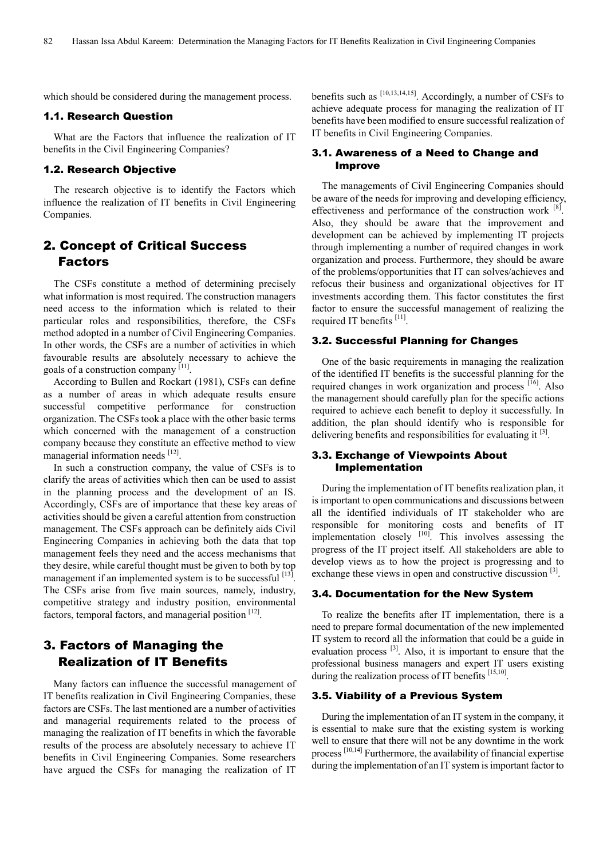which should be considered during the management process.

#### 1.1. Research Question

What are the Factors that influence the realization of IT benefits in the Civil Engineering Companies?

#### 1.2. Research Objective

The research objective is to identify the Factors which influence the realization of IT benefits in Civil Engineering Companies.

# 2. Concept of Critical Success Factors

The CSFs constitute a method of determining precisely what information is most required. The construction managers need access to the information which is related to their particular roles and responsibilities, therefore, the CSFs method adopted in a number of Civil Engineering Companies. In other words, the CSFs are a number of activities in which favourable results are absolutely necessary to achieve the goals of a construction company [11].

According to Bullen and Rockart (1981), CSFs can define as a number of areas in which adequate results ensure successful competitive performance for construction organization. The CSFs took a place with the other basic terms which concerned with the management of a construction company because they constitute an effective method to view managerial information needs [12].

In such a construction company, the value of CSFs is to clarify the areas of activities which then can be used to assist in the planning process and the development of an IS. Accordingly, CSFs are of importance that these key areas of activities should be given a careful attention from construction management. The CSFs approach can be definitely aids Civil Engineering Companies in achieving both the data that top management feels they need and the access mechanisms that they desire, while careful thought must be given to both by top management if an implemented system is to be successful [13]. The CSFs arise from five main sources, namely, industry, competitive strategy and industry position, environmental factors, temporal factors, and managerial position [12].

# 3. Factors of Managing the Realization of IT Benefits

Many factors can influence the successful management of IT benefits realization in Civil Engineering Companies, these factors are CSFs. The last mentioned are a number of activities and managerial requirements related to the process of managing the realization of IT benefits in which the favorable results of the process are absolutely necessary to achieve IT benefits in Civil Engineering Companies. Some researchers have argued the CSFs for managing the realization of IT

benefits such as  $^{[10,13,14,15]}$ . Accordingly, a number of CSFs to achieve adequate process for managing the realization of IT benefits have been modified to ensure successful realization of IT benefits in Civil Engineering Companies.

#### 3.1. Awareness of a Need to Change and Improve

The managements of Civil Engineering Companies should be aware of the needs for improving and developing efficiency, effectiveness and performance of the construction work  $[8]$ . Also, they should be aware that the improvement and development can be achieved by implementing IT projects through implementing a number of required changes in work organization and process. Furthermore, they should be aware of the problems/opportunities that IT can solves/achieves and refocus their business and organizational objectives for IT investments according them. This factor constitutes the first factor to ensure the successful management of realizing the required IT benefits [11].

#### 3.2. Successful Planning for Changes

One of the basic requirements in managing the realization of the identified IT benefits is the successful planning for the required changes in work organization and process  $[16]$ . Also the management should carefully plan for the specific actions required to achieve each benefit to deploy it successfully. In addition, the plan should identify who is responsible for delivering benefits and responsibilities for evaluating it <sup>[3]</sup>.

#### 3.3. Exchange of Viewpoints About Implementation

During the implementation of IT benefits realization plan, it is important to open communications and discussions between all the identified individuals of IT stakeholder who are responsible for monitoring costs and benefits of IT implementation closely <sup>[10]</sup>. This involves assessing the progress of the IT project itself. All stakeholders are able to develop views as to how the project is progressing and to exchange these views in open and constructive discussion <sup>[3]</sup>.

#### 3.4. Documentation for the New System

To realize the benefits after IT implementation, there is a need to prepare formal documentation of the new implemented IT system to record all the information that could be a guide in evaluation process [3]. Also, it is important to ensure that the professional business managers and expert IT users existing during the realization process of IT benefits [15,10].

#### 3.5. Viability of a Previous System

During the implementation of an IT system in the company, it is essential to make sure that the existing system is working well to ensure that there will not be any downtime in the work process  $[10,14]$  Furthermore, the availability of financial expertise during the implementation of an IT system is important factor to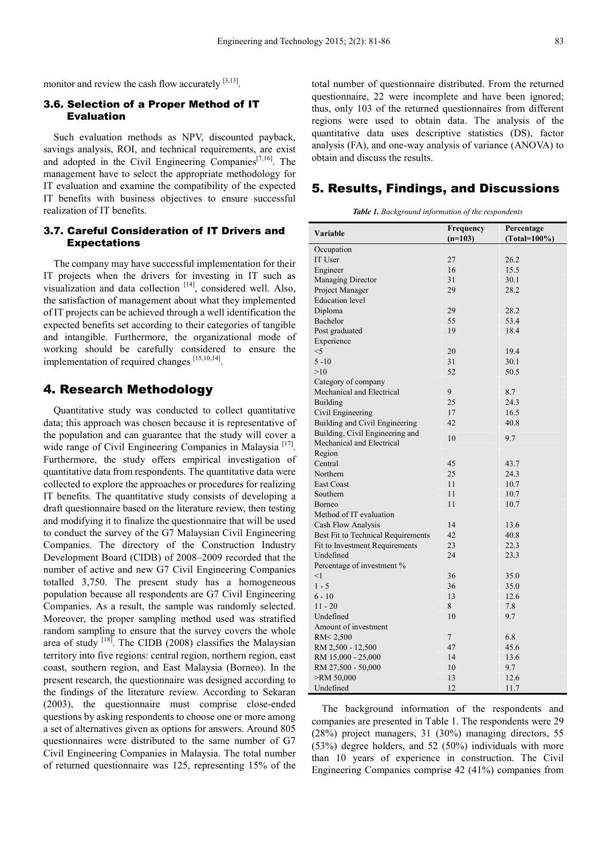monitor and review the cash flow accurately  $[3,13]$ .

#### 3.6. Selection of a Proper Method of IT Evaluation

Such evaluation methods as NPV, discounted payback, savings analysis, ROI, and technical requirements, are exist and adopted in the Civil Engineering Companies $[7,16]$ . The management have to select the appropriate methodology for IT evaluation and examine the compatibility of the expected IT benefits with business objectives to ensure successful realization of IT benefits.

# 3.7. Careful Consideration of IT Drivers and Expectations

The company may have successful implementation for their IT projects when the drivers for investing in IT such as visualization and data collection [14], considered well. Also, the satisfaction of management about what they implemented of IT projects can be achieved through a well identification the expected benefits set according to their categories of tangible and intangible. Furthermore, the organizational mode of working should be carefully considered to ensure the implementation of required changes [15,10,14].

# 4. Research Methodology

Quantitative study was conducted to collect quantitative data; this approach was chosen because it is representative of the population and can guarantee that the study will cover a wide range of Civil Engineering Companies in Malaysia<sup>[17]</sup>. Furthermore, the study offers empirical investigation of quantitative data from respondents. The quantitative data were collected to explore the approaches or procedures for realizing IT benefits. The quantitative study consists of developing a draft questionnaire based on the literature review, then testing and modifying it to finalize the questionnaire that will be used to conduct the survey of the G7 Malaysian Civil Engineering Companies. The directory of the Construction Industry Development Board (CIDB) of 2008–2009 recorded that the number of active and new G7 Civil Engineering Companies totalled 3,750. The present study has a homogeneous population because all respondents are G7 Civil Engineering Companies. As a result, the sample was randomly selected. Moreover, the proper sampling method used was stratified random sampling to ensure that the survey covers the whole area of study  $[18]$ . The CIDB (2008) classifies the Malaysian territory into five regions: central region, northern region, east coast, southern region, and East Malaysia (Borneo). In the present research, the questionnaire was designed according to the findings of the literature review. According to Sekaran (2003), the questionnaire must comprise close-ended questions by asking respondents to choose one or more among a set of alternatives given as options for answers. Around 805 questionnaires were distributed to the same number of G7 Civil Engineering Companies in Malaysia. The total number of returned questionnaire was 125, representing 15% of the

total number of questionnaire distributed. From the returned questionnaire, 22 were incomplete and have been ignored; thus, only 103 of the returned questionnaires from different regions were used to obtain data. The analysis of the quantitative data uses descriptive statistics (DS), factor analysis (FA), and one-way analysis of variance (ANOVA) to obtain and discuss the results.

### 5. Results, Findings, and Discussions

*Table 1. Background information of the respondents* 

|                                    | Frequency       | Percentage      |  |  |
|------------------------------------|-----------------|-----------------|--|--|
| Variable                           | $(n=103)$       | $(Total=100\%)$ |  |  |
| Occupation                         |                 |                 |  |  |
| IT User                            | 27              | 26.2            |  |  |
| Engineer                           | 16              | 15.5            |  |  |
| Managing Director                  | 31              | 30.1            |  |  |
| Project Manager                    | 29              | 28.2            |  |  |
| <b>Education</b> level             |                 |                 |  |  |
| Diploma                            | 29              | 28.2            |  |  |
| Bachelor                           | 55              | 53.4            |  |  |
| Post graduated                     | 19              | 18.4            |  |  |
| Experience                         |                 |                 |  |  |
| $<$ 5                              | 20              | 19.4            |  |  |
| $5 - 10$                           | 31              | 30.1            |  |  |
| >10                                | 52              | 50.5            |  |  |
| Category of company                |                 |                 |  |  |
| Mechanical and Electrical          | 9               | 8.7             |  |  |
| <b>Building</b>                    | 25              | 24.3            |  |  |
| Civil Engineering                  | 17              | 16.5            |  |  |
| Building and Civil Engineering     | 42              | 40.8            |  |  |
| Building, Civil Engineering and    |                 |                 |  |  |
| Mechanical and Electrical          | 10              | 9.7             |  |  |
| Region                             |                 |                 |  |  |
| Central                            | 45              |                 |  |  |
| Northern                           | 25              | 43.7            |  |  |
|                                    |                 | 24.3            |  |  |
| <b>East Coast</b>                  | 11              | 10.7            |  |  |
| Southern                           | 11              | 10.7            |  |  |
| <b>Borneo</b>                      | 11              | 10.7            |  |  |
| Method of IT evaluation            |                 |                 |  |  |
| Cash Flow Analysis                 | 14              | 13.6            |  |  |
| Best Fit to Technical Requirements | 42              | 40.8            |  |  |
| Fit to Investment Requirements     | 23              | 22.3            |  |  |
| Undefined                          | 24              | 23.3            |  |  |
| Percentage of investment %         |                 |                 |  |  |
| <1                                 | 36              | 35.0            |  |  |
| $1 - 5$                            | 36              | 35.0            |  |  |
| $6 - 10$                           | 13              | 12.6            |  |  |
| $11 - 20$                          | 8               | 7.8             |  |  |
| Undefined                          | 10              | 9.7             |  |  |
| Amount of investment               |                 |                 |  |  |
| RM<2,500                           | $7\overline{ }$ | 6.8             |  |  |
| RM 2,500 - 12,500                  | 47              | 45.6            |  |  |
| RM 15,000 - 25,000                 | 14              | 13.6            |  |  |
| RM 27,500 - 50,000                 | 10              | 9.7             |  |  |
| >RM 50,000                         | 13              | 12.6            |  |  |
| Undefined                          | 12              | 11.7            |  |  |

The background information of the respondents and companies are presented in Table 1. The respondents were 29 (28%) project managers, 31 (30%) managing directors, 55 (53%) degree holders, and 52 (50%) individuals with more than 10 years of experience in construction. The Civil Engineering Companies comprise 42 (41%) companies from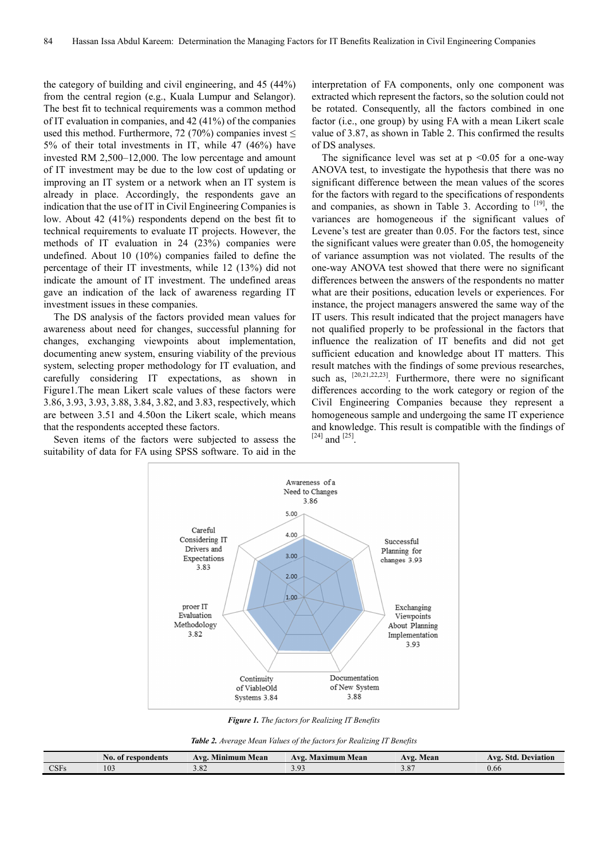the category of building and civil engineering, and 45 (44%) from the central region (e.g., Kuala Lumpur and Selangor). The best fit to technical requirements was a common method of IT evaluation in companies, and 42 (41%) of the companies used this method. Furthermore, 72 (70%) companies invest  $\leq$ 5% of their total investments in IT, while 47 (46%) have invested RM 2,500–12,000. The low percentage and amount of IT investment may be due to the low cost of updating or improving an IT system or a network when an IT system is already in place. Accordingly, the respondents gave an indication that the use of IT in Civil Engineering Companies is low. About 42 (41%) respondents depend on the best fit to technical requirements to evaluate IT projects. However, the methods of IT evaluation in 24 (23%) companies were undefined. About 10 (10%) companies failed to define the percentage of their IT investments, while 12 (13%) did not indicate the amount of IT investment. The undefined areas gave an indication of the lack of awareness regarding IT investment issues in these companies.

The DS analysis of the factors provided mean values for awareness about need for changes, successful planning for changes, exchanging viewpoints about implementation, documenting anew system, ensuring viability of the previous system, selecting proper methodology for IT evaluation, and carefully considering IT expectations, as shown in Figure1.The mean Likert scale values of these factors were 3.86, 3.93, 3.93, 3.88, 3.84, 3.82, and 3.83, respectively, which are between 3.51 and 4.50on the Likert scale, which means that the respondents accepted these factors.

Seven items of the factors were subjected to assess the suitability of data for FA using SPSS software. To aid in the interpretation of FA components, only one component was extracted which represent the factors, so the solution could not be rotated. Consequently, all the factors combined in one factor (i.e., one group) by using FA with a mean Likert scale value of 3.87, as shown in Table 2. This confirmed the results of DS analyses.

The significance level was set at  $p \le 0.05$  for a one-way ANOVA test, to investigate the hypothesis that there was no significant difference between the mean values of the scores for the factors with regard to the specifications of respondents and companies, as shown in Table 3. According to  $[19]$ , the variances are homogeneous if the significant values of Levene's test are greater than 0.05. For the factors test, since the significant values were greater than 0.05, the homogeneity of variance assumption was not violated. The results of the one-way ANOVA test showed that there were no significant differences between the answers of the respondents no matter what are their positions, education levels or experiences. For instance, the project managers answered the same way of the IT users. This result indicated that the project managers have not qualified properly to be professional in the factors that influence the realization of IT benefits and did not get sufficient education and knowledge about IT matters. This result matches with the findings of some previous researches, such as,  $[20,21,22,23]$ . Furthermore, there were no significant differences according to the work category or region of the Civil Engineering Companies because they represent a homogeneous sample and undergoing the same IT experience and knowledge. This result is compatible with the findings of  $^{[24]}$  and  $^{[25]}$ .



*Figure 1. The factors for Realizing IT Benefits* 

| <b>Table 2.</b> Average Mean Values of the factors for Realizing IT Benefits |  |  |  |
|------------------------------------------------------------------------------|--|--|--|
|------------------------------------------------------------------------------|--|--|--|

|             | No. of respondents | <b>COLLECT</b><br>Mean<br>A vo<br>Minimum | . Maximum Mean<br>Avo. | $\bf{A} \bf{V} \bf{P}$<br>Mean | . Deviation<br>Std.<br>Avg. |
|-------------|--------------------|-------------------------------------------|------------------------|--------------------------------|-----------------------------|
| <b>CSFs</b> | 103                | 3.04                                      | ----                   | $\sim 0$<br>J.O                | V.00                        |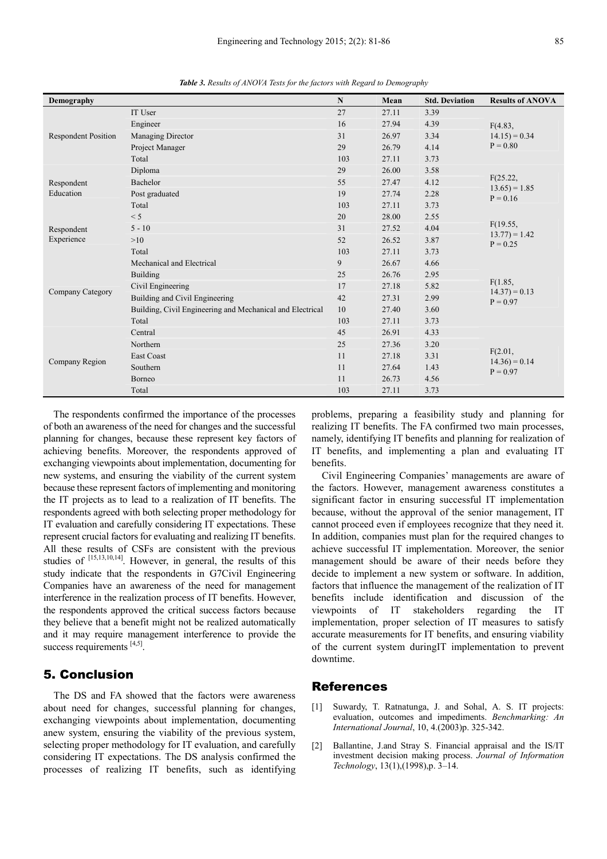| Demography                 |                                                           | ${\bf N}$ | Mean  | <b>Std. Deviation</b> | <b>Results of ANOVA</b>                  |  |
|----------------------------|-----------------------------------------------------------|-----------|-------|-----------------------|------------------------------------------|--|
| <b>Respondent Position</b> | IT User                                                   | 27        | 27.11 | 3.39                  |                                          |  |
|                            | Engineer                                                  | 16        | 27.94 | 4.39                  | F(4.83,<br>$14.15 = 0.34$<br>$P = 0.80$  |  |
|                            | Managing Director                                         | 31        | 26.97 | 3.34                  |                                          |  |
|                            | Project Manager                                           | 29        | 26.79 | 4.14                  |                                          |  |
|                            | Total                                                     | 103       | 27.11 | 3.73                  |                                          |  |
|                            | Diploma                                                   | 29        | 26.00 | 3.58                  |                                          |  |
| Respondent                 | Bachelor                                                  | 55        | 27.47 | 4.12                  | F(25.22,<br>$13.65 = 1.85$<br>$P = 0.16$ |  |
| Education                  | Post graduated                                            | 19        | 27.74 | 2.28                  |                                          |  |
|                            | Total                                                     | 103       | 27.11 | 3.73                  |                                          |  |
|                            | < 5                                                       | 20        | 28.00 | 2.55                  | F(19.55,<br>$13.77 = 1.42$<br>$P = 0.25$ |  |
| Respondent                 | $5 - 10$                                                  | 31        | 27.52 | 4.04                  |                                          |  |
| Experience                 | >10                                                       | 52        | 26.52 | 3.87                  |                                          |  |
|                            | Total                                                     | 103       | 27.11 | 3.73                  |                                          |  |
|                            | Mechanical and Electrical                                 | 9         | 26.67 | 4.66                  | F(1.85,<br>$14.37 = 0.13$<br>$P = 0.97$  |  |
|                            | <b>Building</b>                                           | 25        | 26.76 | 2.95                  |                                          |  |
|                            | Civil Engineering                                         | 17        | 27.18 | 5.82                  |                                          |  |
| Company Category           | Building and Civil Engineering                            | 42        | 27.31 | 2.99                  |                                          |  |
|                            | Building, Civil Engineering and Mechanical and Electrical | 10        | 27.40 | 3.60                  |                                          |  |
|                            | Total                                                     | 103       | 27.11 | 3.73                  |                                          |  |
| Company Region             | Central                                                   | 45        | 26.91 | 4.33                  | F(2.01,<br>$14.36 = 0.14$<br>$P = 0.97$  |  |
|                            | Northern                                                  | 25        | 27.36 | 3.20                  |                                          |  |
|                            | <b>East Coast</b>                                         | 11        | 27.18 | 3.31                  |                                          |  |
|                            | Southern                                                  | 11        | 27.64 | 1.43                  |                                          |  |
|                            | Borneo                                                    | 11        | 26.73 | 4.56                  |                                          |  |
|                            | Total                                                     | 103       | 27.11 | 3.73                  |                                          |  |

*Table 3. Results of ANOVA Tests for the factors with Regard to Demography* 

The respondents confirmed the importance of the processes of both an awareness of the need for changes and the successful planning for changes, because these represent key factors of achieving benefits. Moreover, the respondents approved of exchanging viewpoints about implementation, documenting for new systems, and ensuring the viability of the current system because these represent factors of implementing and monitoring the IT projects as to lead to a realization of IT benefits. The respondents agreed with both selecting proper methodology for IT evaluation and carefully considering IT expectations. These represent crucial factors for evaluating and realizing IT benefits. All these results of CSFs are consistent with the previous studies of [15,13,10,14]. However, in general, the results of this study indicate that the respondents in G7Civil Engineering Companies have an awareness of the need for management interference in the realization process of IT benefits. However, the respondents approved the critical success factors because they believe that a benefit might not be realized automatically and it may require management interference to provide the success requirements [4,5].

# 5. Conclusion

The DS and FA showed that the factors were awareness about need for changes, successful planning for changes, exchanging viewpoints about implementation, documenting anew system, ensuring the viability of the previous system, selecting proper methodology for IT evaluation, and carefully considering IT expectations. The DS analysis confirmed the processes of realizing IT benefits, such as identifying

problems, preparing a feasibility study and planning for realizing IT benefits. The FA confirmed two main processes, namely, identifying IT benefits and planning for realization of IT benefits, and implementing a plan and evaluating IT benefits.

Civil Engineering Companies' managements are aware of the factors. However, management awareness constitutes a significant factor in ensuring successful IT implementation because, without the approval of the senior management, IT cannot proceed even if employees recognize that they need it. In addition, companies must plan for the required changes to achieve successful IT implementation. Moreover, the senior management should be aware of their needs before they decide to implement a new system or software. In addition, factors that influence the management of the realization of IT benefits include identification and discussion of the viewpoints of IT stakeholders regarding the IT implementation, proper selection of IT measures to satisfy accurate measurements for IT benefits, and ensuring viability of the current system duringIT implementation to prevent downtime.

#### References

- [1] Suwardy, T. Ratnatunga, J. and Sohal, A. S. IT projects: evaluation, outcomes and impediments. *Benchmarking: An International Journal*, 10, 4.(2003)p. 325-342.
- [2] Ballantine, J.and Stray S. Financial appraisal and the IS/IT investment decision making process. *Journal of Information Technology*, 13(1),(1998),p. 3–14.